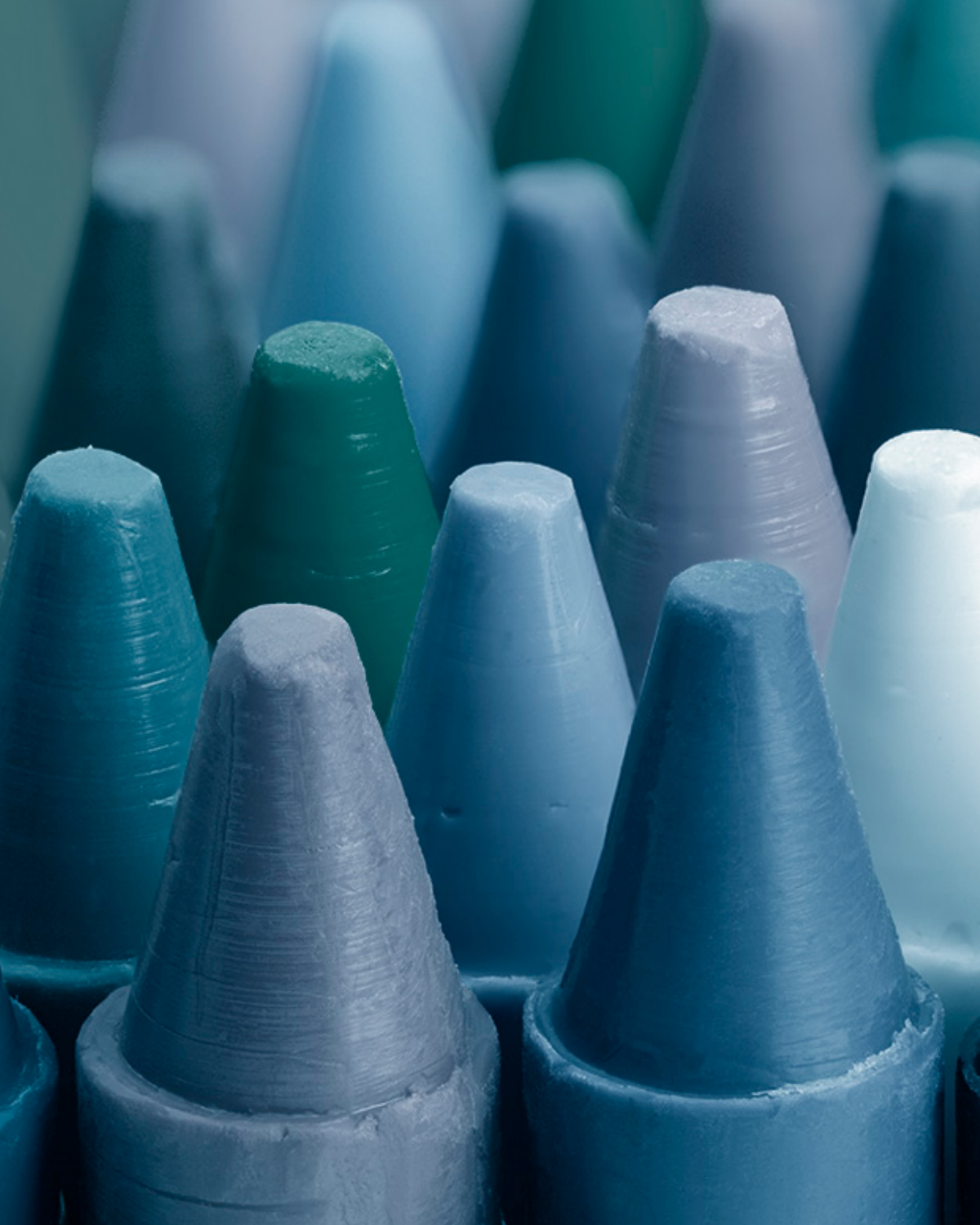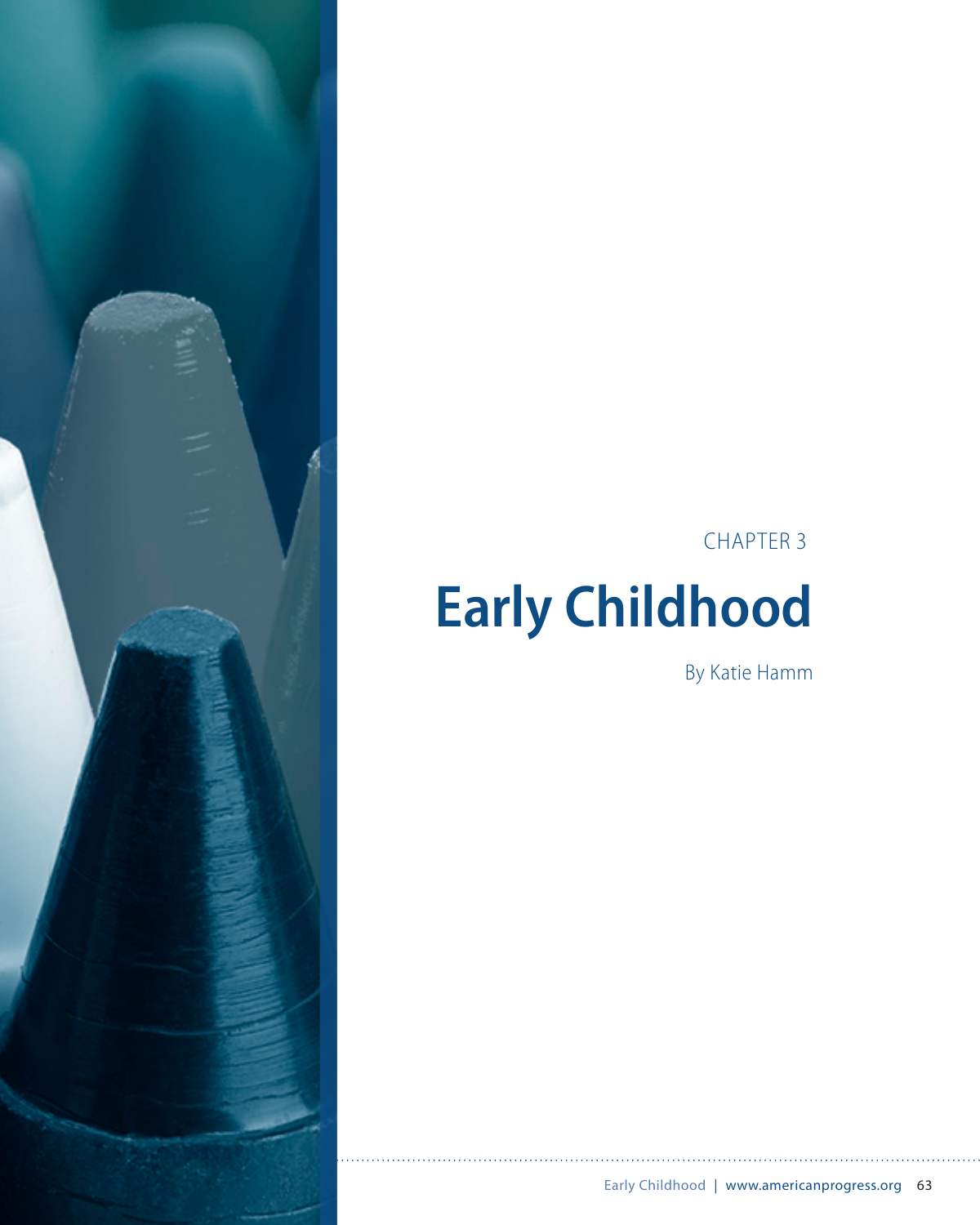

# **Early Childhood**

By Katie Hamm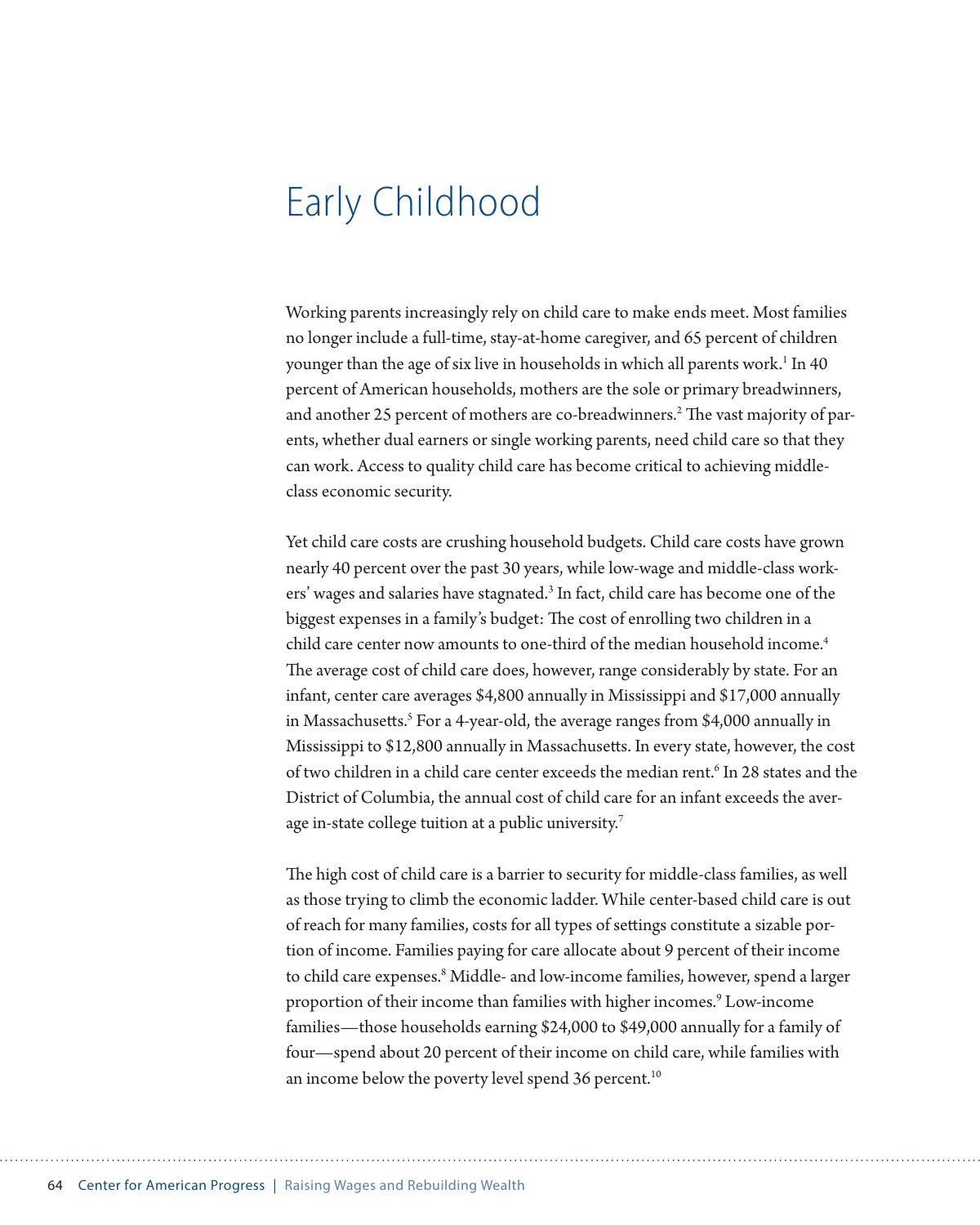# Early Childhood

Working parents increasingly rely on child care to make ends meet. Most families no longer include a full-time, stay-at-home caregiver, and 65 percent of children younger than the age of six live in households in which all parents work.<sup>1</sup> In 40 percent of American households, mothers are the sole or primary breadwinners, and another 25 percent of mothers are co-breadwinners.<sup>2</sup> The vast majority of parents, whether dual earners or single working parents, need child care so that they can work. Access to quality child care has become critical to achieving middleclass economic security.

Yet child care costs are crushing household budgets. Child care costs have grown nearly 40 percent over the past 30 years, while low-wage and middle-class workers' wages and salaries have stagnated.<sup>3</sup> In fact, child care has become one of the biggest expenses in a family's budget: The cost of enrolling two children in a child care center now amounts to one-third of the median household income.<sup>4</sup> The average cost of child care does, however, range considerably by state. For an infant, center care averages \$4,800 annually in Mississippi and \$17,000 annually in Massachusetts.<sup>5</sup> For a 4-year-old, the average ranges from \$4,000 annually in Mississippi to \$12,800 annually in Massachusetts. In every state, however, the cost of two children in a child care center exceeds the median rent.6 In 28 states and the District of Columbia, the annual cost of child care for an infant exceeds the average in-state college tuition at a public university.<sup>7</sup>

The high cost of child care is a barrier to security for middle-class families, as well as those trying to climb the economic ladder. While center-based child care is out of reach for many families, costs for all types of settings constitute a sizable portion of income. Families paying for care allocate about 9 percent of their income to child care expenses.<sup>8</sup> Middle- and low-income families, however, spend a larger proportion of their income than families with higher incomes.<sup>9</sup> Low-income families—those households earning \$24,000 to \$49,000 annually for a family of four—spend about 20 percent of their income on child care, while families with an income below the poverty level spend 36 percent.<sup>10</sup>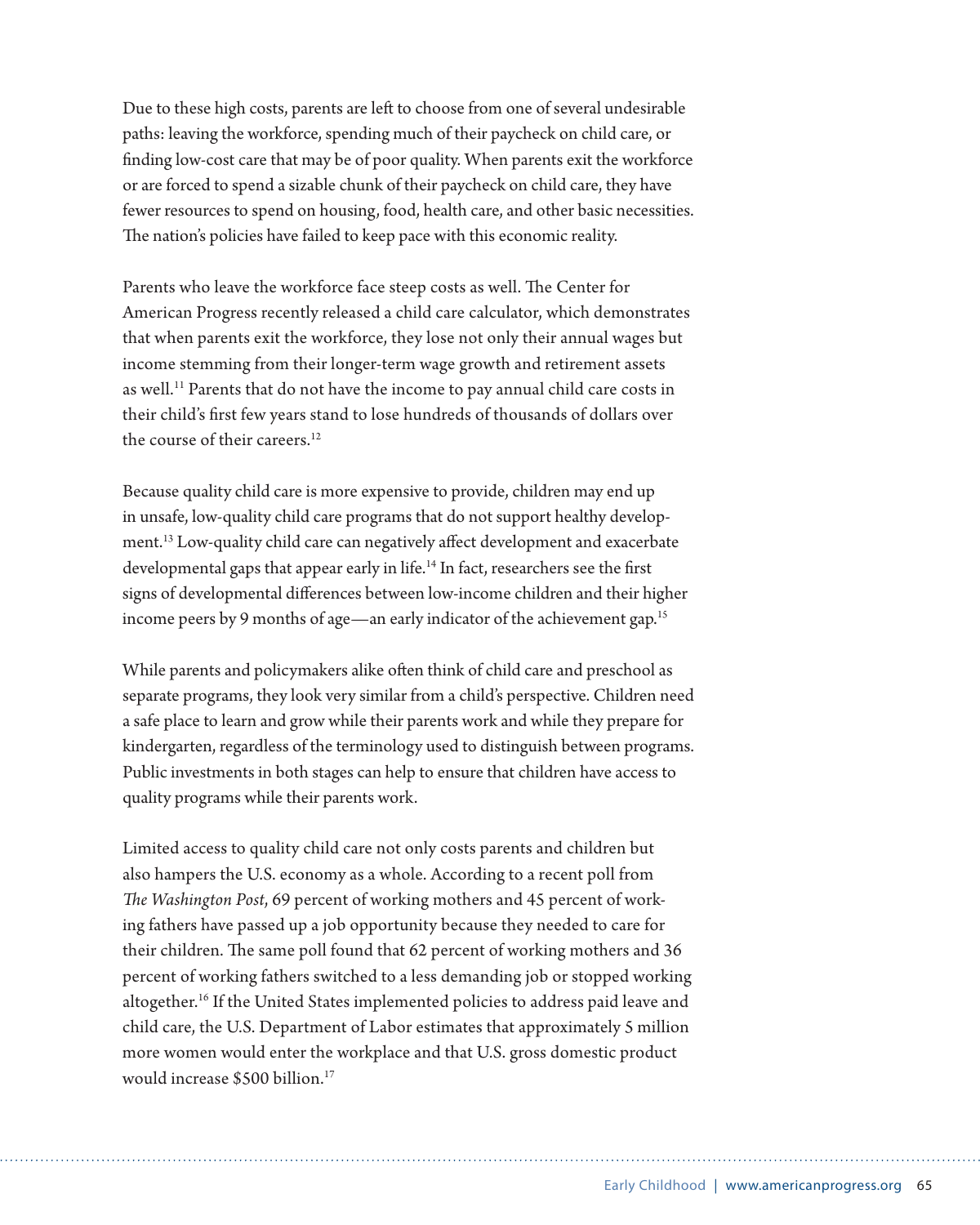Due to these high costs, parents are left to choose from one of several undesirable paths: leaving the workforce, spending much of their paycheck on child care, or finding low-cost care that may be of poor quality. When parents exit the workforce or are forced to spend a sizable chunk of their paycheck on child care, they have fewer resources to spend on housing, food, health care, and other basic necessities. The nation's policies have failed to keep pace with this economic reality.

Parents who leave the workforce face steep costs as well. The Center for American Progress recently released a child care calculator, which demonstrates that when parents exit the workforce, they lose not only their annual wages but income stemming from their longer-term wage growth and retirement assets as well.<sup>11</sup> Parents that do not have the income to pay annual child care costs in their child's first few years stand to lose hundreds of thousands of dollars over the course of their careers.<sup>12</sup>

Because quality child care is more expensive to provide, children may end up in unsafe, low-quality child care programs that do not support healthy development.13 Low-quality child care can negatively affect development and exacerbate developmental gaps that appear early in life.<sup>14</sup> In fact, researchers see the first signs of developmental differences between low-income children and their higher income peers by 9 months of age—an early indicator of the achievement gap.<sup>15</sup>

While parents and policymakers alike often think of child care and preschool as separate programs, they look very similar from a child's perspective. Children need a safe place to learn and grow while their parents work and while they prepare for kindergarten, regardless of the terminology used to distinguish between programs. Public investments in both stages can help to ensure that children have access to quality programs while their parents work.

Limited access to quality child care not only costs parents and children but also hampers the U.S. economy as a whole. According to a recent poll from *The Washington Post*, 69 percent of working mothers and 45 percent of working fathers have passed up a job opportunity because they needed to care for their children. The same poll found that 62 percent of working mothers and 36 percent of working fathers switched to a less demanding job or stopped working altogether.<sup>16</sup> If the United States implemented policies to address paid leave and child care, the U.S. Department of Labor estimates that approximately 5 million more women would enter the workplace and that U.S. gross domestic product would increase \$500 billion.<sup>17</sup>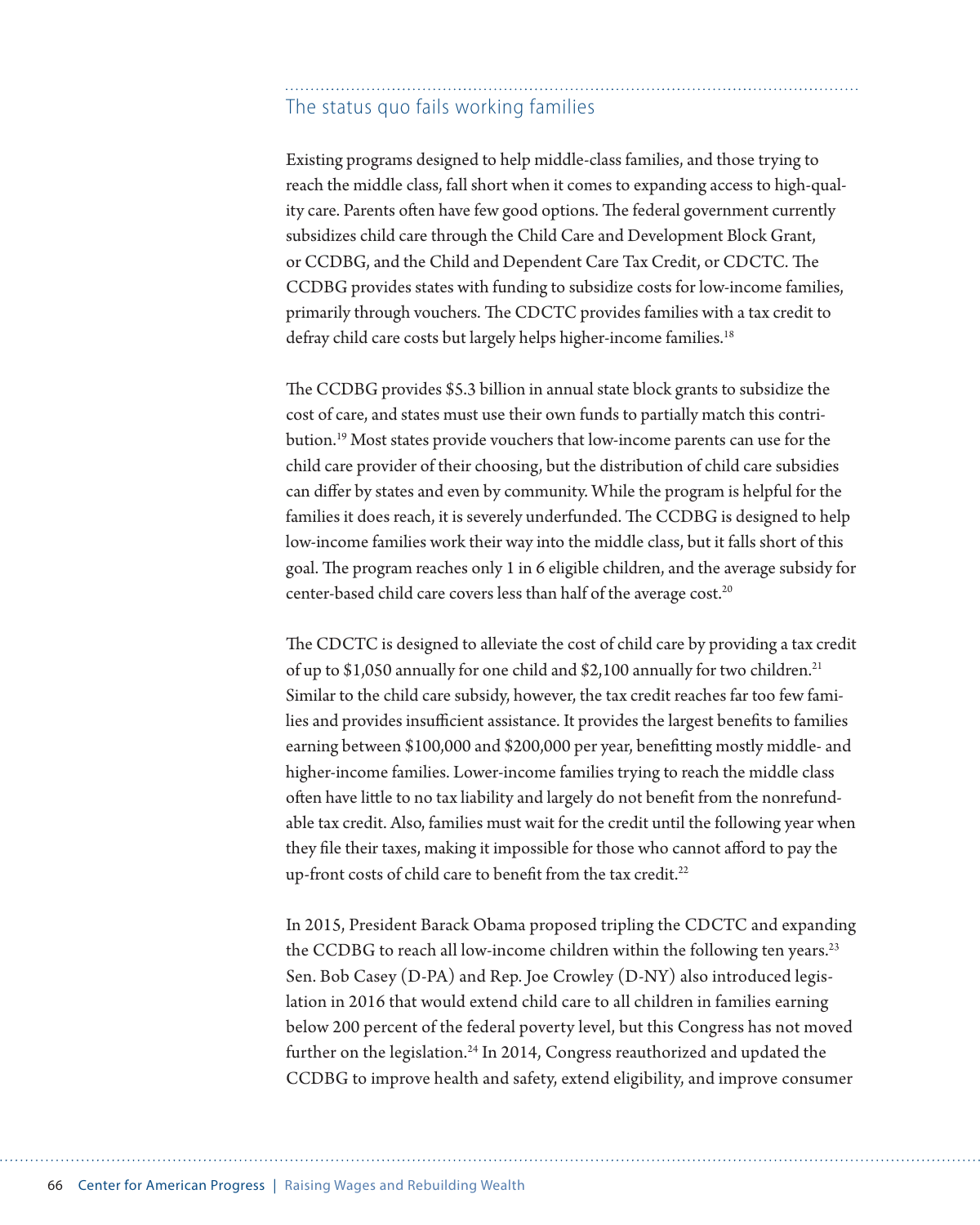### The status quo fails working families

Existing programs designed to help middle-class families, and those trying to reach the middle class, fall short when it comes to expanding access to high-quality care. Parents often have few good options. The federal government currently subsidizes child care through the Child Care and Development Block Grant, or CCDBG, and the Child and Dependent Care Tax Credit, or CDCTC. The CCDBG provides states with funding to subsidize costs for low-income families, primarily through vouchers. The CDCTC provides families with a tax credit to defray child care costs but largely helps higher-income families.<sup>18</sup>

The CCDBG provides \$5.3 billion in annual state block grants to subsidize the cost of care, and states must use their own funds to partially match this contribution.19 Most states provide vouchers that low-income parents can use for the child care provider of their choosing, but the distribution of child care subsidies can differ by states and even by community. While the program is helpful for the families it does reach, it is severely underfunded. The CCDBG is designed to help low-income families work their way into the middle class, but it falls short of this goal. The program reaches only 1 in 6 eligible children, and the average subsidy for center-based child care covers less than half of the average cost.<sup>20</sup>

The CDCTC is designed to alleviate the cost of child care by providing a tax credit of up to \$1,050 annually for one child and \$2,100 annually for two children.21 Similar to the child care subsidy, however, the tax credit reaches far too few families and provides insufficient assistance. It provides the largest benefits to families earning between \$100,000 and \$200,000 per year, benefitting mostly middle- and higher-income families. Lower-income families trying to reach the middle class often have little to no tax liability and largely do not benefit from the nonrefundable tax credit. Also, families must wait for the credit until the following year when they file their taxes, making it impossible for those who cannot afford to pay the up-front costs of child care to benefit from the tax credit.<sup>22</sup>

In 2015, President Barack Obama proposed tripling the CDCTC and expanding the CCDBG to reach all low-income children within the following ten years. $^{23}$ Sen. Bob Casey (D-PA) and Rep. Joe Crowley (D-NY) also introduced legislation in 2016 that would extend child care to all children in families earning below 200 percent of the federal poverty level, but this Congress has not moved further on the legislation.<sup>24</sup> In 2014, Congress reauthorized and updated the CCDBG to improve health and safety, extend eligibility, and improve consumer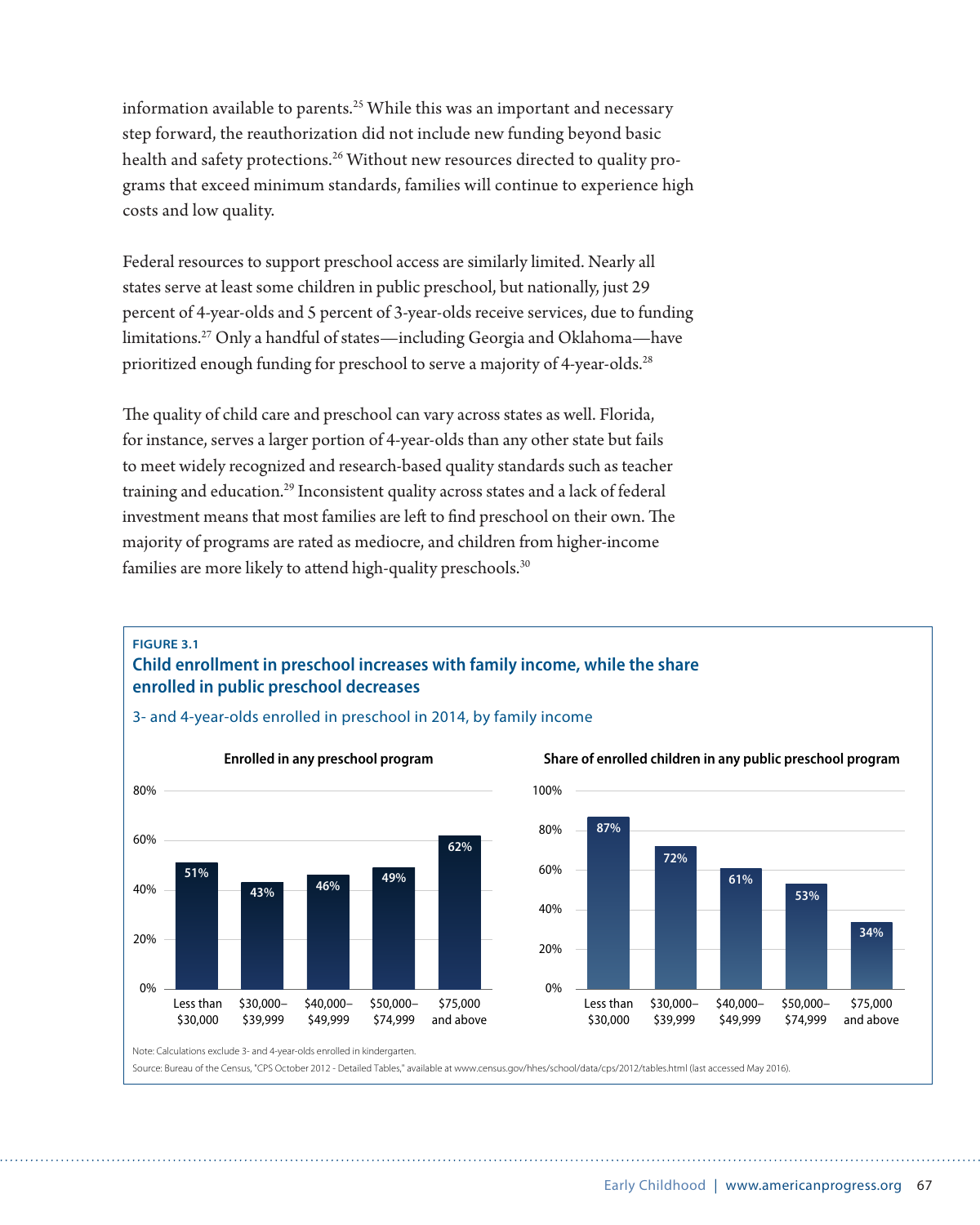information available to parents.<sup>25</sup> While this was an important and necessary step forward, the reauthorization did not include new funding beyond basic health and safety protections.<sup>26</sup> Without new resources directed to quality programs that exceed minimum standards, families will continue to experience high costs and low quality.

Federal resources to support preschool access are similarly limited. Nearly all states serve at least some children in public preschool, but nationally, just 29 percent of 4-year-olds and 5 percent of 3-year-olds receive services, due to funding limitations.27 Only a handful of states—including Georgia and Oklahoma—have prioritized enough funding for preschool to serve a majority of 4-year-olds.<sup>28</sup>

The quality of child care and preschool can vary across states as well. Florida, for instance, serves a larger portion of 4-year-olds than any other state but fails to meet widely recognized and research-based quality standards such as teacher training and education.29 Inconsistent quality across states and a lack of federal investment means that most families are left to find preschool on their own. The majority of programs are rated as mediocre, and children from higher-income families are more likely to attend high-quality preschools.<sup>30</sup>

### **FIGURE 3.1**

0%

Less than \$30,000

20%

40%

### **Child enrollment in preschool increases with family income, while the share enrolled in public preschool decreases**



\$40,000– \$49,999

\$50,000– \$74,999

3- and 4-year-olds enrolled in preschool in 2014, by family income

#### **Enrolled in any preschool program Share of enrolled children in any public preschool program**



\$30,000– \$39,999

Source: Bureau of the Census, "CPS October 2012 - Detailed Tables," available at www.census.gov/hhes/school/data/cps/2012/tables.html (last accessed May 2016).

\$75,000 and above

Note: Calculations exclude 3- and 4-year-olds enrolled in kindergarten.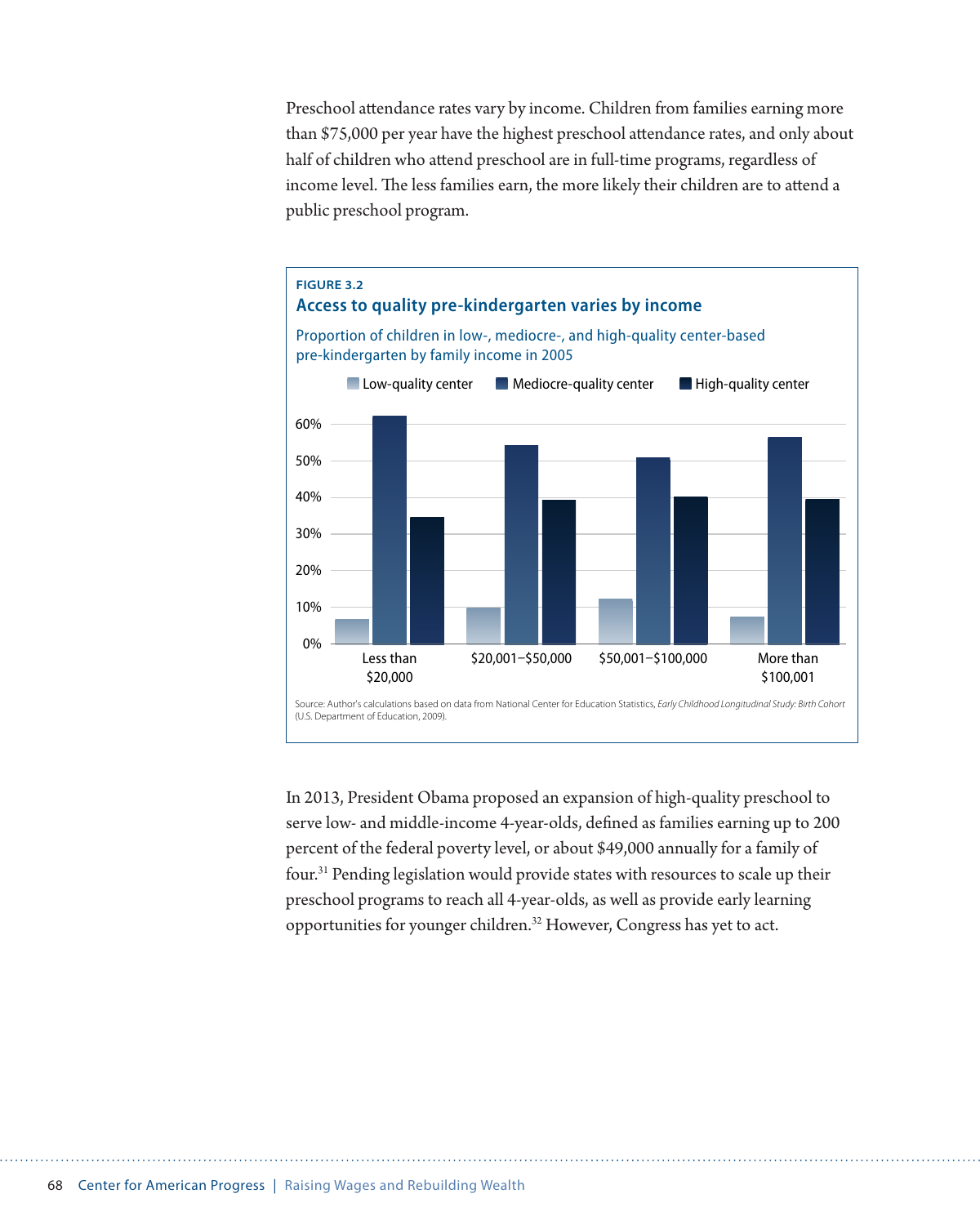Preschool attendance rates vary by income. Children from families earning more than \$75,000 per year have the highest preschool attendance rates, and only about half of children who attend preschool are in full-time programs, regardless of income level. The less families earn, the more likely their children are to attend a public preschool program.



In 2013, President Obama proposed an expansion of high-quality preschool to serve low- and middle-income 4-year-olds, defined as families earning up to 200 percent of the federal poverty level, or about \$49,000 annually for a family of four.31 Pending legislation would provide states with resources to scale up their preschool programs to reach all 4-year-olds, as well as provide early learning opportunities for younger children.32 However, Congress has yet to act.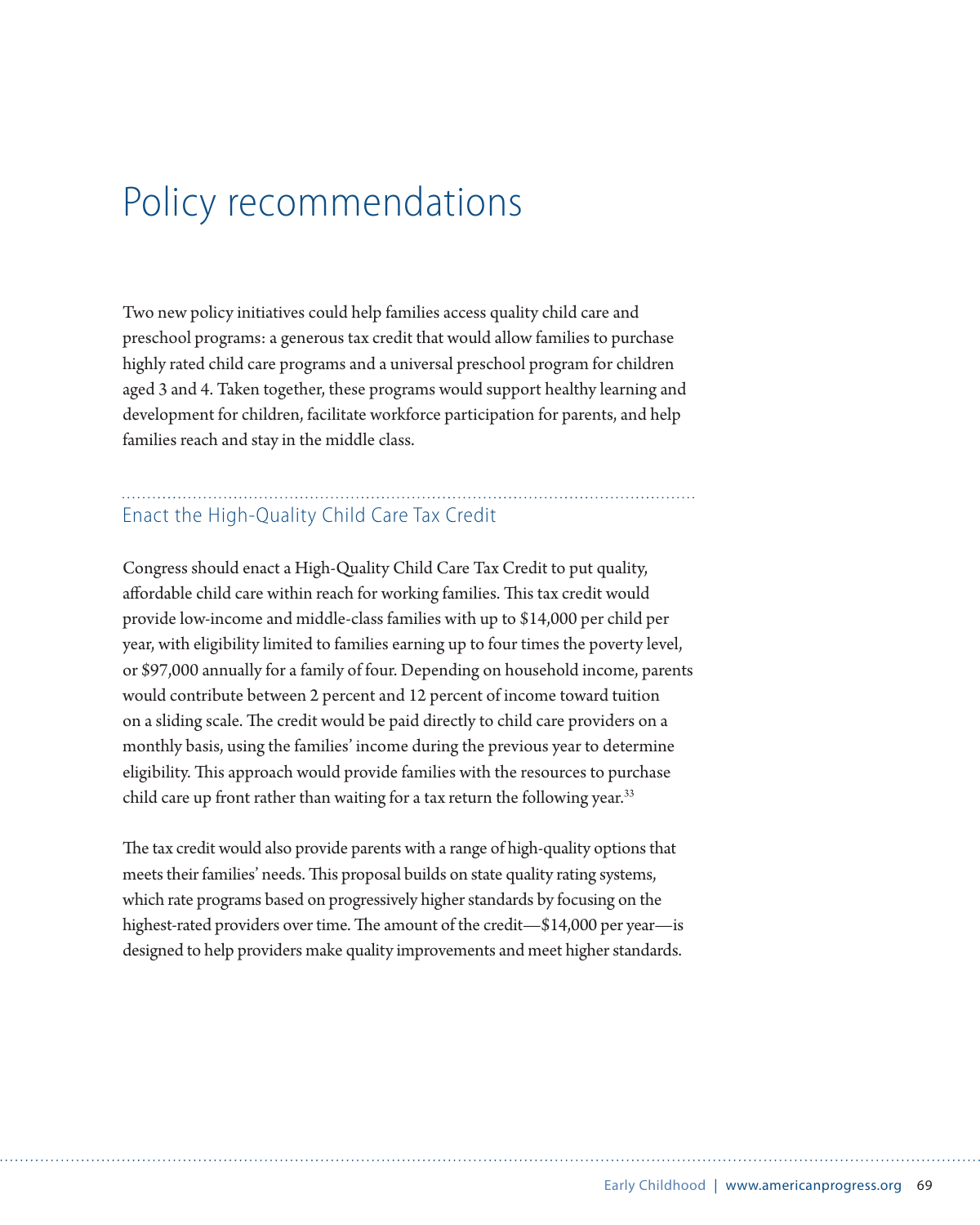# Policy recommendations

Two new policy initiatives could help families access quality child care and preschool programs: a generous tax credit that would allow families to purchase highly rated child care programs and a universal preschool program for children aged 3 and 4. Taken together, these programs would support healthy learning and development for children, facilitate workforce participation for parents, and help families reach and stay in the middle class.

## Enact the High-Quality Child Care Tax Credit

Congress should enact a High-Quality Child Care Tax Credit to put quality, affordable child care within reach for working families. This tax credit would provide low-income and middle-class families with up to \$14,000 per child per year, with eligibility limited to families earning up to four times the poverty level, or \$97,000 annually for a family of four. Depending on household income, parents would contribute between 2 percent and 12 percent of income toward tuition on a sliding scale. The credit would be paid directly to child care providers on a monthly basis, using the families' income during the previous year to determine eligibility. This approach would provide families with the resources to purchase child care up front rather than waiting for a tax return the following year.<sup>33</sup>

The tax credit would also provide parents with a range of high-quality options that meets their families' needs. This proposal builds on state quality rating systems, which rate programs based on progressively higher standards by focusing on the highest-rated providers over time. The amount of the credit—\$14,000 per year—is designed to help providers make quality improvements and meet higher standards.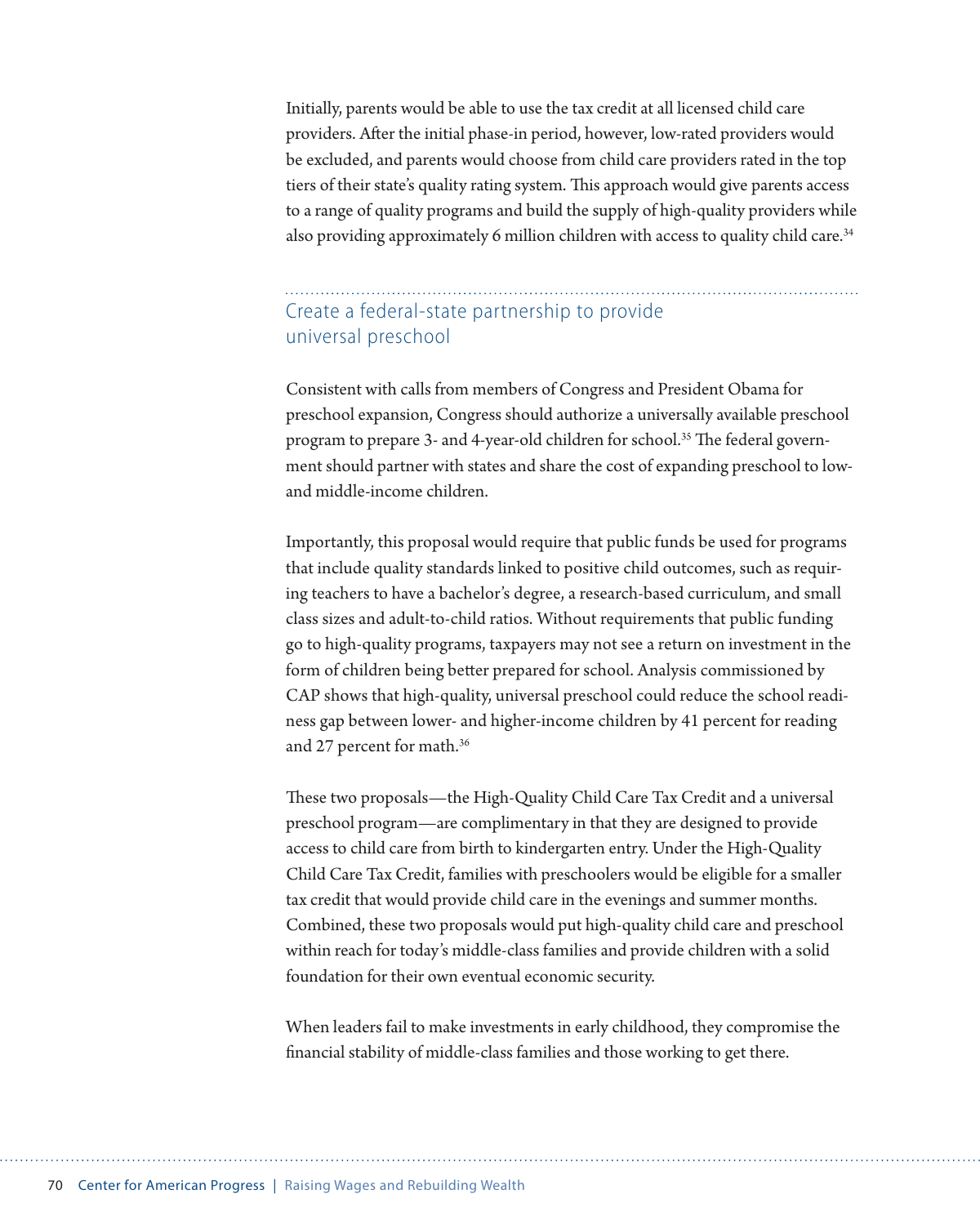Initially, parents would be able to use the tax credit at all licensed child care providers. After the initial phase-in period, however, low-rated providers would be excluded, and parents would choose from child care providers rated in the top tiers of their state's quality rating system. This approach would give parents access to a range of quality programs and build the supply of high-quality providers while also providing approximately 6 million children with access to quality child care.<sup>34</sup>

### Create a federal-state partnership to provide universal preschool

Consistent with calls from members of Congress and President Obama for preschool expansion, Congress should authorize a universally available preschool program to prepare 3- and 4-year-old children for school.<sup>35</sup> The federal government should partner with states and share the cost of expanding preschool to lowand middle-income children.

Importantly, this proposal would require that public funds be used for programs that include quality standards linked to positive child outcomes, such as requiring teachers to have a bachelor's degree, a research-based curriculum, and small class sizes and adult-to-child ratios. Without requirements that public funding go to high-quality programs, taxpayers may not see a return on investment in the form of children being better prepared for school. Analysis commissioned by CAP shows that high-quality, universal preschool could reduce the school readiness gap between lower- and higher-income children by 41 percent for reading and 27 percent for math.36

These two proposals—the High-Quality Child Care Tax Credit and a universal preschool program—are complimentary in that they are designed to provide access to child care from birth to kindergarten entry. Under the High-Quality Child Care Tax Credit, families with preschoolers would be eligible for a smaller tax credit that would provide child care in the evenings and summer months. Combined, these two proposals would put high-quality child care and preschool within reach for today's middle-class families and provide children with a solid foundation for their own eventual economic security.

When leaders fail to make investments in early childhood, they compromise the financial stability of middle-class families and those working to get there.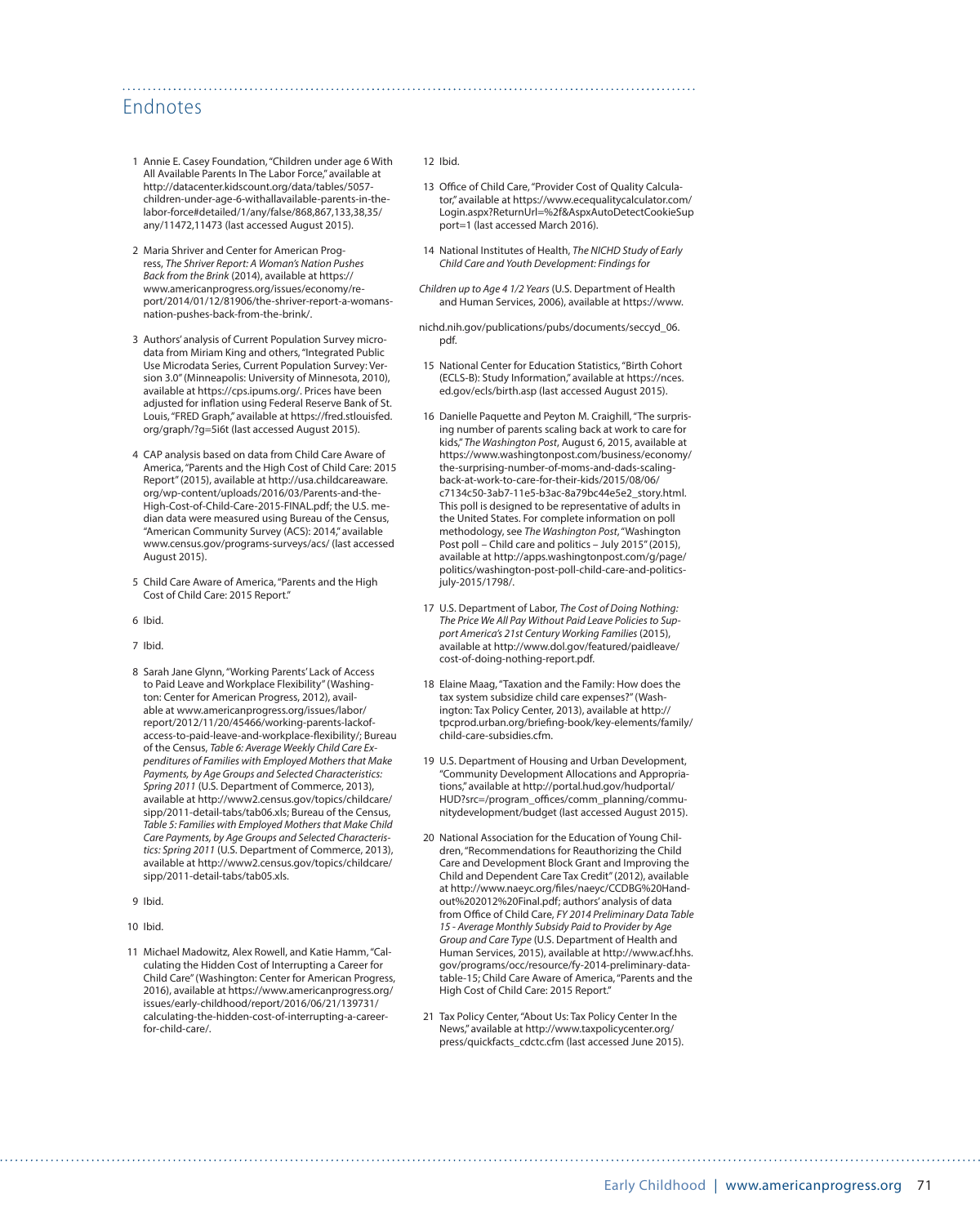### **Endnotes**

- 1 Annie E. Casey Foundation, "Children under age 6 With All Available Parents In The Labor Force," available at http://datacenter.kidscount.org/data/tables/5057 children-under-age-6-withallavailable-parents-in-thelabor-force#detailed/1/any/false/868,867,133,38,35/ any/11472,11473 (last accessed August 2015).
- 2 Maria Shriver and Center for American Progress, *The Shriver Report: A Woman's Nation Pushes Back from the Brink* (2014), available at [https://](https://www.americanprogress.org/issues/economy/report/2014/01/12/81906/the-shriver-report-a-womans-nation-pushes-back-from-the-brink/) [www.americanprogress.org/issues/economy/re](https://www.americanprogress.org/issues/economy/report/2014/01/12/81906/the-shriver-report-a-womans-nation-pushes-back-from-the-brink/)[port/2014/01/12/81906/the-shriver-report-a-womans](https://www.americanprogress.org/issues/economy/report/2014/01/12/81906/the-shriver-report-a-womans-nation-pushes-back-from-the-brink/)[nation-pushes-back-from-the-brink/](https://www.americanprogress.org/issues/economy/report/2014/01/12/81906/the-shriver-report-a-womans-nation-pushes-back-from-the-brink/).
- 3 Authors' analysis of Current Population Survey microdata from Miriam King and others, "Integrated Public Use Microdata Series, Current Population Survey: Version 3.0" (Minneapolis: University of Minnesota, 2010), available at<https://cps.ipums.org/>. Prices have been adjusted for inflation using Federal Reserve Bank of St. Louis, "FRED Graph," available at [https://fred.stlouisfed.](https://fred.stlouisfed.org/graph/?g=5i6t) [org/graph/?g=5i6t](https://fred.stlouisfed.org/graph/?g=5i6t) (last accessed August 2015).
- 4 CAP analysis based on data from Child Care Aware of America, "Parents and the High Cost of Child Care: 2015 Report" (2015), available at [http://usa.childcareaware.](http://usa.childcareaware.org/wp-content/uploads/2016/03/Parents-and-the-High-Cost-of-Child-Care-2015-FINAL.pdf) [org/wp-content/uploads/2016/03/Parents-and-the-](http://usa.childcareaware.org/wp-content/uploads/2016/03/Parents-and-the-High-Cost-of-Child-Care-2015-FINAL.pdf)[High-Cost-of-Child-Care-2015-FINAL.pdf;](http://usa.childcareaware.org/wp-content/uploads/2016/03/Parents-and-the-High-Cost-of-Child-Care-2015-FINAL.pdf) the U.S. median data were measured using Bureau of the Census, "American Community Survey (ACS): 2014," available [www.census.gov/programs-surveys/acs/](http://www.census.gov/programs-surveys/acs/) (last accessed August 2015).
- 5 Child Care Aware of America, "Parents and the High Cost of Child Care: 2015 Report."
- 6 Ibid.
- 7 Ibid.
- 8 Sarah Jane Glynn, "Working Parents' Lack of Access to Paid Leave and Workplace Flexibility" (Washington: Center for American Progress, 2012), available at [www.americanprogress.org/issues/labor/](http://www.americanprogress.org/issues/labor/) report/2012/11/20/45466/working-parents-lackofaccess-to-paid-leave-and-workplace-flexibility/; Bureau of the Census, *Table 6: Average Weekly Child Care Expenditures of Families with Employed Mothers that Make Payments, by Age Groups and Selected Characteristics: Spring 2011* (U.S. Department of Commerce, 2013), available at [http://www2.census.gov/topics/childcare/](http://www2.census.gov/topics/childcare/sipp/2011-detail-tabs/tab06.xls) [sipp/2011-detail-tabs/tab06.xls;](http://www2.census.gov/topics/childcare/sipp/2011-detail-tabs/tab06.xls) Bureau of the Census, *Table 5: Families with Employed Mothers that Make Child Care Payments, by Age Groups and Selected Characteristics: Spring 2011* (U.S. Department of Commerce, 2013), available at http://www2.census.gov/topics/childcare/ sipp/2011-detail-tabs/tab05.xls.
- 9 Ibid.
- 10 Ibid.
- 11 Michael Madowitz, Alex Rowell, and Katie Hamm, "Calculating the Hidden Cost of Interrupting a Career for Child Care" (Washington: Center for American Progress, 2016), available at https://www.americanprogress.org/ issues/early-childhood/report/2016/06/21/139731/ calculating-the-hidden-cost-of-interrupting-a-careerfor-child-care/.

#### 12 Ibid.

- 13 Office of Child Care, "Provider Cost of Quality Calculator," available at [https://www.ecequalitycalculator.com/](https://www.ecequalitycalculator.com/Login.aspx?ReturnUrl=%2f&AspxAutoDetectCookieSupport=1) [Login.aspx?ReturnUrl=%2f&AspxAutoDetectCookieSup](https://www.ecequalitycalculator.com/Login.aspx?ReturnUrl=%2f&AspxAutoDetectCookieSupport=1) [port=1](https://www.ecequalitycalculator.com/Login.aspx?ReturnUrl=%2f&AspxAutoDetectCookieSupport=1) (last accessed March 2016).
- 14 National Institutes of Health, *The NICHD Study of Early Child Care and Youth Development: Findings for*
- *Children up to Age 4 1/2 Years* (U.S. Department of Health and Human Services, 2006), available at https://www.
- nichd.nih.gov/publications/pubs/documents/seccyd\_06. pdf.
- 15 National Center for Education Statistics, "Birth Cohort (ECLS-B): Study Information," available at [https://nces.](https://nces.ed.gov/ecls/birth.asp) [ed.gov/ecls/birth.asp](https://nces.ed.gov/ecls/birth.asp) (last accessed August 2015).
- 16 Danielle Paquette and Peyton M. Craighill, "The surprising number of parents scaling back at work to care for kids," *The Washington Post*, August 6, 2015, available at [https://www.washingtonpost.com/business/economy/](https://www.washingtonpost.com/business/economy/the-surprising-number-of-moms-and-dads-scaling-back-at-work-to-care-for-their-kids/2015/08/06/c7134c50-3ab7-11e5-b3ac-8a79bc44e5e2_story.html) [the-surprising-number-of-moms-and-dads-scaling](https://www.washingtonpost.com/business/economy/the-surprising-number-of-moms-and-dads-scaling-back-at-work-to-care-for-their-kids/2015/08/06/c7134c50-3ab7-11e5-b3ac-8a79bc44e5e2_story.html)[back-at-work-to-care-for-their-kids/2015/08/06/](https://www.washingtonpost.com/business/economy/the-surprising-number-of-moms-and-dads-scaling-back-at-work-to-care-for-their-kids/2015/08/06/c7134c50-3ab7-11e5-b3ac-8a79bc44e5e2_story.html) [c7134c50-3ab7-11e5-b3ac-8a79bc44e5e2\\_story.html](https://www.washingtonpost.com/business/economy/the-surprising-number-of-moms-and-dads-scaling-back-at-work-to-care-for-their-kids/2015/08/06/c7134c50-3ab7-11e5-b3ac-8a79bc44e5e2_story.html). This poll is designed to be representative of adults in the United States. For complete information on poll methodology, see *The Washington Post*, "Washington Post poll – Child care and politics – July 2015" (2015), available at [http://apps.washingtonpost.com/g/page/](http://apps.washingtonpost.com/g/page/politics/washington-post-poll-child-care-and-politics-july-2015/1798/) [politics/washington-post-poll-child-care-and-politics](http://apps.washingtonpost.com/g/page/politics/washington-post-poll-child-care-and-politics-july-2015/1798/)[july-2015/1798/](http://apps.washingtonpost.com/g/page/politics/washington-post-poll-child-care-and-politics-july-2015/1798/).
- 17 U.S. Department of Labor, *The Cost of Doing Nothing: The Price We All Pay Without Paid Leave Policies to Support America's 21st Century Working Families* (2015), available at http://www.dol.gov/featured/paidleave/ cost-of-doing-nothing-report.pdf.
- 18 Elaine Maag, "Taxation and the Family: How does the tax system subsidize child care expenses?" (Washington: Tax Policy Center, 2013), available at [http://](http://tpcprod.urban.org/briefing-book/key-elements/family/child-care-subsidies.cfm) [tpcprod.urban.org/briefing-book/key-elements/family/](http://tpcprod.urban.org/briefing-book/key-elements/family/child-care-subsidies.cfm) [child-care-subsidies.cfm.](http://tpcprod.urban.org/briefing-book/key-elements/family/child-care-subsidies.cfm)
- 19 U.S. Department of Housing and Urban Development, "Community Development Allocations and Appropriations," available at [http://portal.hud.gov/hudportal/](http://portal.hud.gov/hudportal/HUD?src=/program_offices/comm_planning/communitydevelopment/budget) [HUD?src=/program\\_offices/comm\\_planning/commu](http://portal.hud.gov/hudportal/HUD?src=/program_offices/comm_planning/communitydevelopment/budget)[nitydevelopment/budget](http://portal.hud.gov/hudportal/HUD?src=/program_offices/comm_planning/communitydevelopment/budget) (last accessed August 2015).
- 20 National Association for the Education of Young Children, "Recommendations for Reauthorizing the Child Care and Development Block Grant and Improving the Child and Dependent Care Tax Credit" (2012), available at [http://www.naeyc.org/files/naeyc/CCDBG%20Hand](http://www.naeyc.org/files/naeyc/CCDBG%20Handout%202012%20Final.pdf)[out%202012%20Final.pdf](http://www.naeyc.org/files/naeyc/CCDBG%20Handout%202012%20Final.pdf); authors' analysis of data from Office of Child Care, *FY 2014 Preliminary Data Table 15 - Average Monthly Subsidy Paid to Provider by Age Group and Care Type* (U.S. Department of Health and Human Services, 2015), available at [http://www.acf.hhs.](http://www.acf.hhs.gov/programs/occ/resource/fy-2014-preliminary-data-table-15) [gov/programs/occ/resource/fy-2014-preliminary-data](http://www.acf.hhs.gov/programs/occ/resource/fy-2014-preliminary-data-table-15)[table-15;](http://www.acf.hhs.gov/programs/occ/resource/fy-2014-preliminary-data-table-15) Child Care Aware of America, "Parents and the High Cost of Child Care: 2015 Report."
- 21 Tax Policy Center, "About Us: Tax Policy Center In the News," available at [http://www.taxpolicycenter.org/](http://www.taxpolicycenter.org/press/quickfacts_cdctc.cfm) [press/quickfacts\\_cdctc.cfm](http://www.taxpolicycenter.org/press/quickfacts_cdctc.cfm) (last accessed June 2015).